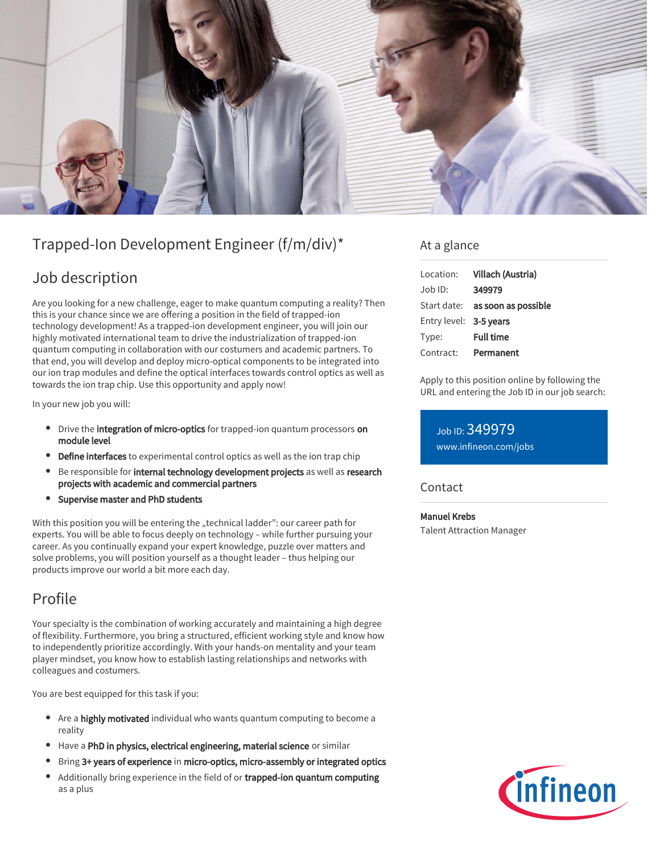

# Trapped-Ion Development Engineer (f/m/div)\*

## Job description

Are you looking for a new challenge, eager to make quantum computing a reality? Then this is your chance since we are offering a position in the field of trapped-ion technology development! As a trapped-ion development engineer, you will join our highly motivated international team to drive the industrialization of trapped-ion quantum computing in collaboration with our costumers and academic partners. To that end, you will develop and deploy micro-optical components to be integrated into our ion trap modules and define the optical interfaces towards control optics as well as towards the ion trap chip. Use this opportunity and apply now!

In your new job you will:

- Drive the integration of micro-optics for trapped-ion quantum processors on module level
- Define interfaces to experimental control optics as well as the ion trap chip
- Be responsible for internal technology development projects as well as research projects with academic and commercial partners
- Supervise master and PhD students

With this position you will be entering the "technical ladder": our career path for experts. You will be able to focus deeply on technology – while further pursuing your career. As you continually expand your expert knowledge, puzzle over matters and solve problems, you will position yourself as a thought leader – thus helping our products improve our world a bit more each day.

### Profile

Your specialty is the combination of working accurately and maintaining a high degree of flexibility. Furthermore, you bring a structured, efficient working style and know how to independently prioritize accordingly. With your hands-on mentality and your team player mindset, you know how to establish lasting relationships and networks with colleagues and costumers.

You are best equipped for this task if you:

- $\bullet$ Are a highly motivated individual who wants quantum computing to become a reality
- Have a PhD in physics, electrical engineering, material science or similar
- Bring 3+ years of experience in micro-optics, micro-assembly or integrated optics
- Additionally bring experience in the field of or trapped-ion quantum computing as a plus

#### At a glance

| Location:              | Villach (Austria)                      |
|------------------------|----------------------------------------|
| Job ID:                | 349979                                 |
|                        | Start date: <b>as soon as possible</b> |
| Entry level: 3-5 years |                                        |
| Type:                  | <b>Full time</b>                       |
| Contract:              | Permanent                              |

Apply to this position online by following the URL and entering the Job ID in our job search:

Job ID: 349979 [www.infineon.com/jobs](https://www.infineon.com/jobs)

**Contact** 

Manuel Krebs

Talent Attraction Manager

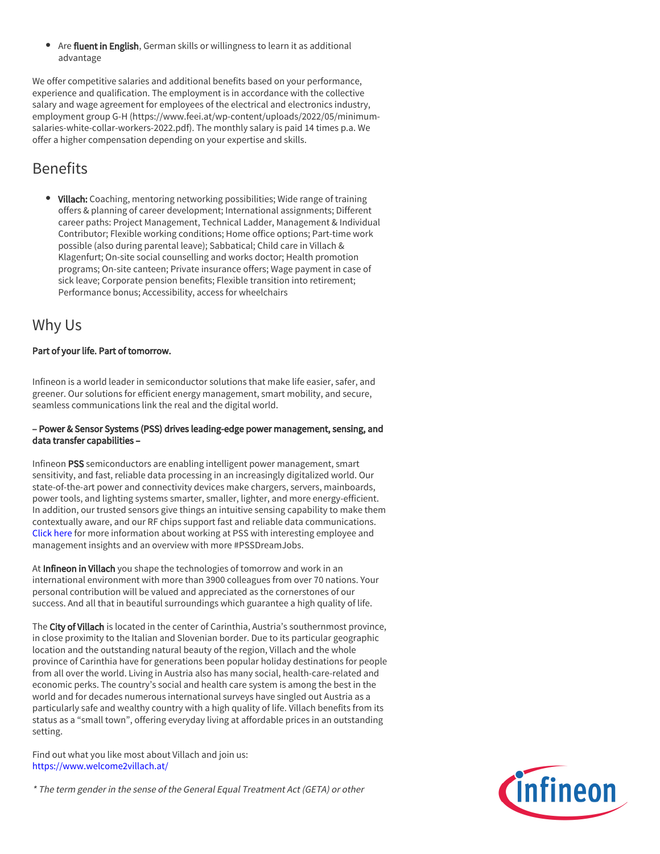Are fluent in English, German skills or willingness to learn it as additional advantage

We offer competitive salaries and additional benefits based on your performance, experience and qualification. The employment is in accordance with the collective salary and wage agreement for employees of the electrical and electronics industry, employment group G-H (https://www.feei.at/wp-content/uploads/2022/05/minimumsalaries-white-collar-workers-2022.pdf). The monthly salary is paid 14 times p.a. We offer a higher compensation depending on your expertise and skills.

# Benefits

• Villach: Coaching, mentoring networking possibilities; Wide range of training offers & planning of career development; International assignments; Different career paths: Project Management, Technical Ladder, Management & Individual Contributor; Flexible working conditions; Home office options; Part-time work possible (also during parental leave); Sabbatical; Child care in Villach & Klagenfurt; On-site social counselling and works doctor; Health promotion programs; On-site canteen; Private insurance offers; Wage payment in case of sick leave; Corporate pension benefits; Flexible transition into retirement; Performance bonus; Accessibility, access for wheelchairs

### Why Us

#### Part of your life. Part of tomorrow.

Infineon is a world leader in semiconductor solutions that make life easier, safer, and greener. Our solutions for efficient energy management, smart mobility, and secure, seamless communications link the real and the digital world.

#### – Power & Sensor Systems (PSS) drives leading-edge power management, sensing, and data transfer capabilities –

Infineon PSS semiconductors are enabling intelligent power management, smart sensitivity, and fast, reliable data processing in an increasingly digitalized world. Our state-of-the-art power and connectivity devices make chargers, servers, mainboards, power tools, and lighting systems smarter, smaller, lighter, and more energy-efficient. In addition, our trusted sensors give things an intuitive sensing capability to make them contextually aware, and our RF chips support fast and reliable data communications. [Click here](https://www.infineon.com/cms/en/careers/working-at-infineon/PSSDreamJob/) for more information about working at PSS with interesting employee and management insights and an overview with more #PSSDreamJobs.

At Infineon in Villach you shape the technologies of tomorrow and work in an international environment with more than 3900 colleagues from over 70 nations. Your personal contribution will be valued and appreciated as the cornerstones of our success. And all that in beautiful surroundings which guarantee a high quality of life.

The City of Villach is located in the center of Carinthia, Austria's southernmost province, in close proximity to the Italian and Slovenian border. Due to its particular geographic location and the outstanding natural beauty of the region, Villach and the whole province of Carinthia have for generations been popular holiday destinations for people from all over the world. Living in Austria also has many social, health-care-related and economic perks. The country's social and health care system is among the best in the world and for decades numerous international surveys have singled out Austria as a particularly safe and wealthy country with a high quality of life. Villach benefits from its status as a "small town", offering everyday living at affordable prices in an outstanding setting.

Find out what you like most about Villach and join us: <https://www.welcome2villach.at/>

\* The term gender in the sense of the General Equal Treatment Act (GETA) or other